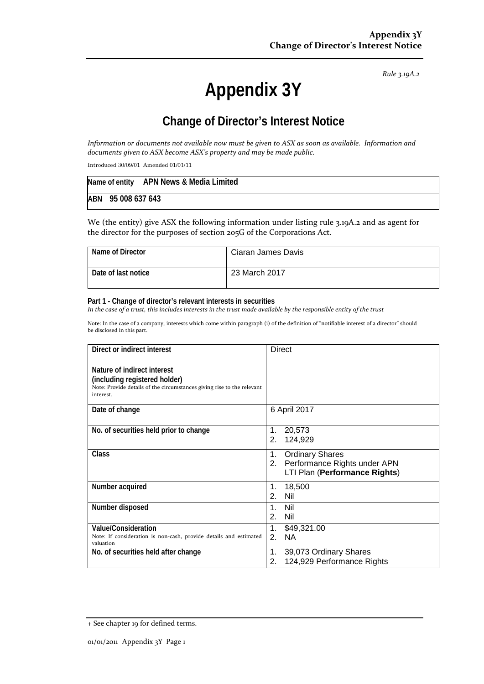*Rule 3.19A.2*

# **Appendix 3Y**

# **Change of Director's Interest Notice**

*Information or documents not available now must be given to ASX as soon as available. Information and documents given to ASX become ASX's property and may be made public.*

Introduced 30/09/01 Amended 01/01/11

|                    | Name of entity APN News & Media Limited |  |
|--------------------|-----------------------------------------|--|
| ABN 95 008 637 643 |                                         |  |

We (the entity) give ASX the following information under listing rule 3.19A.2 and as agent for the director for the purposes of section 205G of the Corporations Act.

| Name of Director    | Ciaran James Davis |
|---------------------|--------------------|
| Date of last notice | 23 March 2017      |

#### **Part 1 - Change of director's relevant interests in securities**

*In the case of a trust, this includes interests in the trust made available by the responsible entity of the trust*

Note: In the case of a company, interests which come within paragraph (i) of the definition of "notifiable interest of a director" should be disclosed in this part.

| Direct or indirect interest                                                                                                                         | <b>Direct</b>                                                                                    |
|-----------------------------------------------------------------------------------------------------------------------------------------------------|--------------------------------------------------------------------------------------------------|
| Nature of indirect interest<br>(including registered holder)<br>Note: Provide details of the circumstances giving rise to the relevant<br>interest. |                                                                                                  |
| Date of change                                                                                                                                      | 6 April 2017                                                                                     |
| No. of securities held prior to change                                                                                                              | 20,573<br>1.<br>124,929<br>2.                                                                    |
| <b>Class</b>                                                                                                                                        | <b>Ordinary Shares</b><br>1.<br>2. Performance Rights under APN<br>LTI Plan (Performance Rights) |
| Number acquired                                                                                                                                     | 1.<br>18,500<br>Nil<br>2.                                                                        |
| Number disposed                                                                                                                                     | $\mathbf 1$ .<br>Nil<br>2.<br>Nil                                                                |
| Value/Consideration<br>Note: If consideration is non-cash, provide details and estimated<br>valuation                                               | \$49,321.00<br>1.<br>2.<br><b>NA</b>                                                             |
| No. of securities held after change                                                                                                                 | 39,073 Ordinary Shares<br>1.<br>124,929 Performance Rights<br>2.                                 |

<sup>+</sup> See chapter 19 for defined terms.